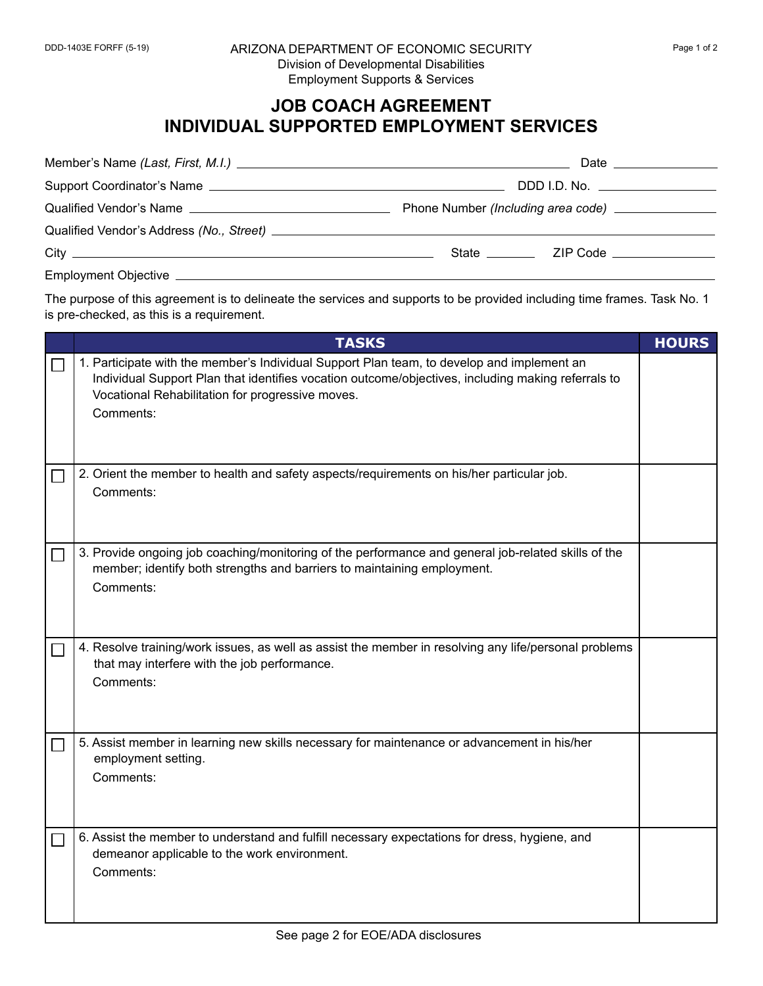## **JOB COACH AGREEMENT INDIVIDUAL SUPPORTED EMPLOYMENT SERVICES**

| Date ________________           |
|---------------------------------|
| DDD I.D. No. __________________ |
|                                 |
|                                 |
|                                 |
|                                 |

The purpose of this agreement is to delineate the services and supports to be provided including time frames. Task No. 1 is pre-checked, as this is a requirement.

| <b>TASKS</b>                                                                                                                                                                                                                                                      | <b>HOURS</b> |
|-------------------------------------------------------------------------------------------------------------------------------------------------------------------------------------------------------------------------------------------------------------------|--------------|
| 1. Participate with the member's Individual Support Plan team, to develop and implement an<br>Individual Support Plan that identifies vocation outcome/objectives, including making referrals to<br>Vocational Rehabilitation for progressive moves.<br>Comments: |              |
| 2. Orient the member to health and safety aspects/requirements on his/her particular job.<br>Comments:                                                                                                                                                            |              |
| 3. Provide ongoing job coaching/monitoring of the performance and general job-related skills of the<br>member; identify both strengths and barriers to maintaining employment.<br>Comments:                                                                       |              |
| 4. Resolve training/work issues, as well as assist the member in resolving any life/personal problems<br>that may interfere with the job performance.<br>Comments:                                                                                                |              |
| 5. Assist member in learning new skills necessary for maintenance or advancement in his/her<br>employment setting.<br>Comments:                                                                                                                                   |              |
| 6. Assist the member to understand and fulfill necessary expectations for dress, hygiene, and<br>demeanor applicable to the work environment.<br>Comments:                                                                                                        |              |